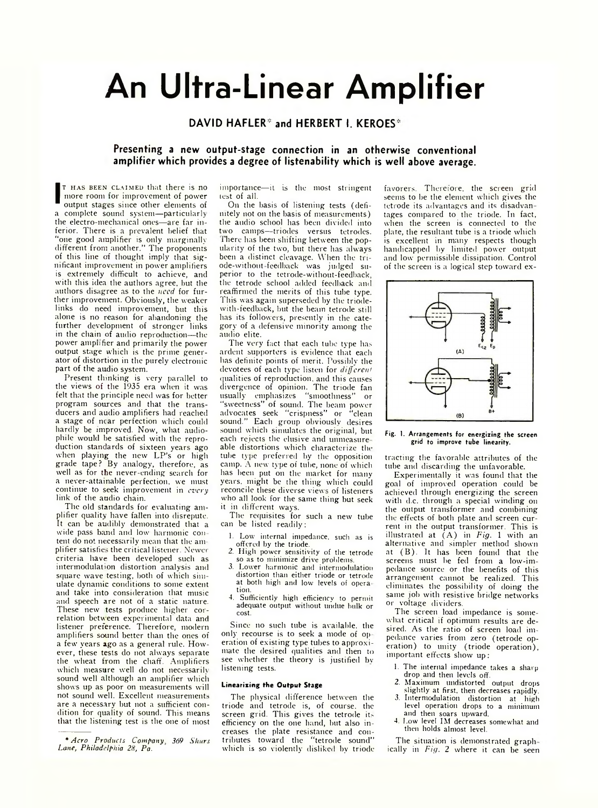# **An Ultra-Linear Amplifier**

DAVID HAFLER<sup>\*</sup> and HERBERT I. KEROES<sup>\*</sup>

# **Presenting a new output-stage connection in an otherwise conventional amplifier which provides a degree of listenability which is well above average.**

**I T I** HAS BEEN CLATMED that there is no<br>
more room for improvement of power<br>
output stages since other elements of<br>
a complete sound system—particularly t has been claimed that there is no more room for improvement of power output stages since other elements of the electro-mechanical ones—are far inferior. There is a prevalent belief that "one good amplifier is only marginally different from another." The proponents of this line of thought imply that significant improvement in power amplifiers is extremely difficult to achieve, and with this idea the authors agree, but the authors disagree as to the *need* for further improvement. Obviously, the weaker links do need improvement, but this alone is no reason for abandoning the further development of stronger links in the chain of audio reproduction—the power amplifier and primarily the power output stage which is the prime generator of distortion in the purely electronic part of the audio system.

Present thinking is very parallel to the views of the 1935 era when it was felt that the principle need was for better program sources and that the transducers and audio amplifiers had reached a stage of near perfection which could hardly be improved. Now, what audiophile would be satisfied with the reproduction standards of sixteen years ago when playing the new LP's or high grade tape ? By analogy, therefore, as well as for the never-ending search for a never-attainable perfection, we must continue to seek improvement in *every* link of the audio chain.

The old standards for evaluating amplifier quality have fallen into disrepute. It can be audibly demonstrated that a wide pass band and low harmonic con tent do not necessarily mean that the amplifier satisfies the critical listener. Newer criteria have been developed such as interinodulation distortion analysis and square wave testing, both of which simulate dynamic conditions to some extent and take into consideration that music and speech are not of a static nature. These new tests produce higher correlation between experimental data and listener preference. Therefore, modern amplifiers sound better than the ones of a few years ago as a general rule. However, these tests do not always separate the wheat from the chaff. Amplifiers which measure well do not necessarily sound well although an amplifier which shows up as poor on measurements will not sound well. Excellent measurements are a necessary but not a sufficient condition for quality of sound. This means that the listening test is the one of most importance— it is the most stringent test of all.

On the basis of listening tests (definitely not on the basis of measurements) the audio school has been divided into two camps—triodes versus tetrodes. There has been shifting between the popularity of the two, but there has always been a distinct cleavage. When the triode-withont feedback was judged superior to the tetrode-without-feedback, the tetrode school added feedback and reaffirmed the merits of this tube type. This was again superseded by the triodewith-feedback, but the beam tetrode still has its followers, presently in the category of a defensive minority among the audio elite.

The very fact that each tube type has ardent supporters is evidence that each has definite points of merit. Possibly the devotees of each type listen for *different* qualities of reproduction, and this causes divergence of opinion. The triode fan usually emphasizes "smoothness" or "sweetness" of sound. The beam power advocates seek "crispness" or "clean sound." Each group obviously desires sound which simulates the original, but each rejects the elusive and unmeasure able distortions which characterize the tube type preferred by the opposition camp. A new type of tube, none of which has been put on the market for many years, might be the thing which could reconcile these diverse views of listeners who all look for the same thing but seek it in different ways.

The requisites for such a new tube can be listed readily:

- 1. Low internal impedance, such as is offered by the triode.
- 2. High power sensitivity of the tetrode so as to minimize drive problems.
- 3. Lower harmonic and intermodulation distortion than either triode or tetrode at both high and low levels of opera tion.
- 4. Sufficiently high efficiency to permit adequate output without undue bulk or cost.

Since no such tube is available, the only recourse is to seek a mode of op eration of existing type tubes to approximate the desired qualities and then to see whether the theory is justified by listening tests.

### **Linearizing the Output Stage**

The physical difference between the triode and tetrode is, of course, the screen grid. This gives the tetrode its efficiency on the one hand, but also increases the plate resistance and contributes toward the "tetrode sound" which is so violently disliked by triode

favorers. Therefore, the screen grid seems to be the element which gives the tetrode its advantages and its disadvar. tages compared to the triode. In fact, when the screen is connected to the plate, the resultant tube is a triode which is excellent in many respects though handicapped by limited power output and low permissible dissipation. Control of the screen is a logical step toward ex-



#### Fig. 1. Arrangements for energizing the screen grid to improve tube linearity.

trading the favorable attributes of the tube and discarding the unfavorable.

Experimentally it was found that the goal of improved operation could be achieved through energizing the screen with d.c. through a special winding on the output transformer and combining the effects of both plate and screen current in the output transformer. This is illustrated at  $(A)$  in *Fig.* 1 with an alternative and simpler method shown at  $(B)$ . It has been found that the screens must be fed from a low-impedance source or the benefits of this arrangement cannot be realized. This eliminates the possibility of doing the same job with resistive bridge networks or voltage dividers.

The screen load impedance is somewhat critical if optimum results are desired. As the ratio of screen load impedance varies from zero (tetrode operation) to unity (triode operation), important effects show up :

- 1. The internal impedance takes a sharp drop and then levels off.
- 2. Maximum undistorted output drops slightly at first, then decreases rapidly.
- 3. Intermodulation distortion at high level operation drops to a minimum and then soars upward.
- 4. Low level IM decreases somewhat and then holds almost level.

The situation is demonstrated graph ically in *Fig. 2* where it can be seen

*<sup>\*</sup> A ero Products Company 369 Shurs* Lane, Philadelphia 28, Pa.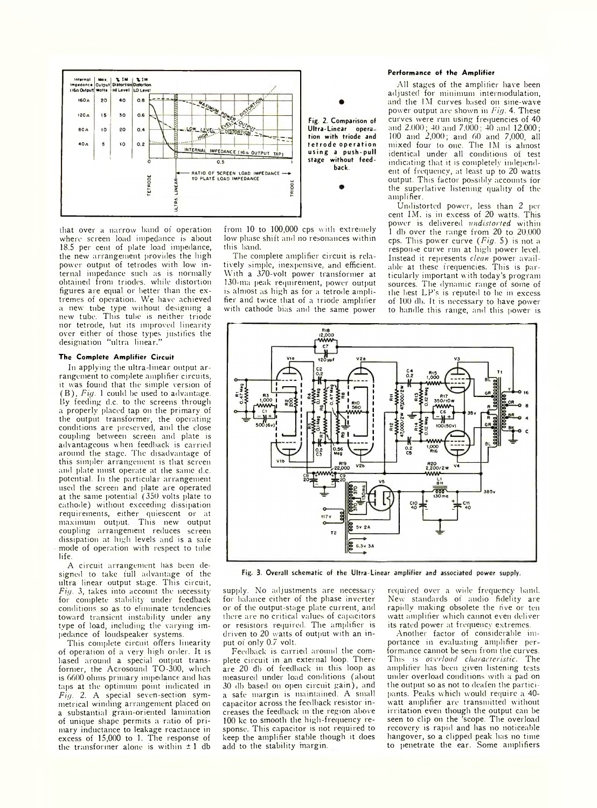

that over a narrow band of operation where screen load impedance is about 18.5 per cent of plate load impedance, the new arrangement provides the high power output of tetrodes with low internal impedance such as is normally obtained from triodes. while distortion figures are equal or better than the extremes of operation. We have achieved a new tube type without designing a new tube. This tube is neither triode nor tetrode, but its improved linearity over either of those types justifies the designation "ultra linear."

### **The Complete Amplifier Circuit**

In applying the ultra-linear output arrangement to complete amplifier circuits, it was found that the simple version of (B ) , *Fig.* 1 could be used to advantage. By feeding d.c. to the screens through a properly placed tap on the primary of the output transformer, the operating conditions are preserved, and the close coupling between screen and plate is advantageous when feedback is carried around the stage. The disadvantage of this simpler arrangement is that screen and plate must operate at the same d.c. potential. In the particular arrangement used the screen and plate are operated at the same potential (350 volts plate to cathode) without exceeding dissipation requirements, either quiescent or at maximum output. This new output coupling arrangement reduces screen dissipation at high levels and is a safe mode of operation with respect to tube life.

A circuit arrangement has been designed to take full advantage of the ultra linear output stage. This circuit, *Fig.* 3, takes into account the necessity for complete stability under feedback conditions so as to eliminate tendencies toward transient instability under any type of load, including- the varying impedance of loudspeaker systems.

This complete circuit offers linearity of operation of a very high order. It is based around a special output transformer, the Acrosound TO-300, which is 6600 ohms primary impedance and has taps at the optimum point indicated in *Fig.* 2. A special seven-section symmetrical winding arrangement placed on a substantial grain-oriented lamination of unique shape permits a ratio of primary inductance to leakage reactance in excess of 15,000 to 1. The response of the transformer alone is within  $\pm 1$  db

from 10 to 100,000 cps with extremely low phase shift and no resonances within this hand.

The complete amplifier circuit is relatively simple, inexpensive, and efficient. With a 370-volt power transformer at 130-ma peak requirement, power output is almost as high as for a tetrode amplifier and twice that of a triode amplifier with cathode bias and the same power

### **Performance of the Amplifier**

All stages of the amplifier have been adjusted for minimum intermodulation, and the 1M curves based on sine-wave power output arc shown in *Fig.* 4. These curves were run using frequencies of 40 and 2.000; 40 and 7,000: 40 and 12,000; 100 and 2,000; and 60 and 7,000, all mixed four to one. The IM is almost identical under all conditions of test indicating that it is completely independent of frequency, at least up to 20 watts output. This factor possibly accounts for the superlative listening quality of the amplifier.

Undistorted power, less than 2 per cent IM, is in excess of 20 watts. This power is delivered *undistorted* within 1 db over the range from 20 to 20 000 cps. This power curve *(Fig.* 5) is not a response curve run at high power level. Instead it represents *clean* power available at these frequencies. This is particularly important with today's program sources. The dynamic range of some of the best LP's is reputed to he in excess of 100 dh. It is necessary to have power to handle this range, and this power is



Fig. 3. Overall schematic of the Ultra-Linear amplifier and associated power supply.

supply. No adjustments are necessary for balance either of the phase inverter or of the output-stage plate current, and there are no critical values of capacitors or resistors required. The amplifier is driven to 20 watts of output with an input of only 0.7 volt.

Feedback is carried around the complete circuit in an external loop. There are 20 dh of feedback in this loop as measured under load conditions (about 30 dh based on open circuit gain), and a safe margin is maintained. A small capacitor across the feedback resistor increases the feedback in the region above 100 kc to smooth the high-frequency response. This capacitor is not required to keep the amplifier stable though it does add to the stability margin.

required over a wide frequency hand. New standards of audio fidelity are rapidly making obsolete the five or ten watt amplifier which cannot even deliver its rated power at frequency extremes.

Another factor of considerable importance in evaluating amplifier performance cannot be seen from the curves. This is *overload characteristic.* The amplifier has been given listening tests under overload conditions with a pad on the output so as not to deafen the participants. Peaks which would require a 40 watt amplifier are transmitted without irritation even though the output can be seen to clip on the 'scope. The overload recovery is rapid and has no noticeable hangover, so a clipped peak has no time to penetrate the ear. Some amplifiers